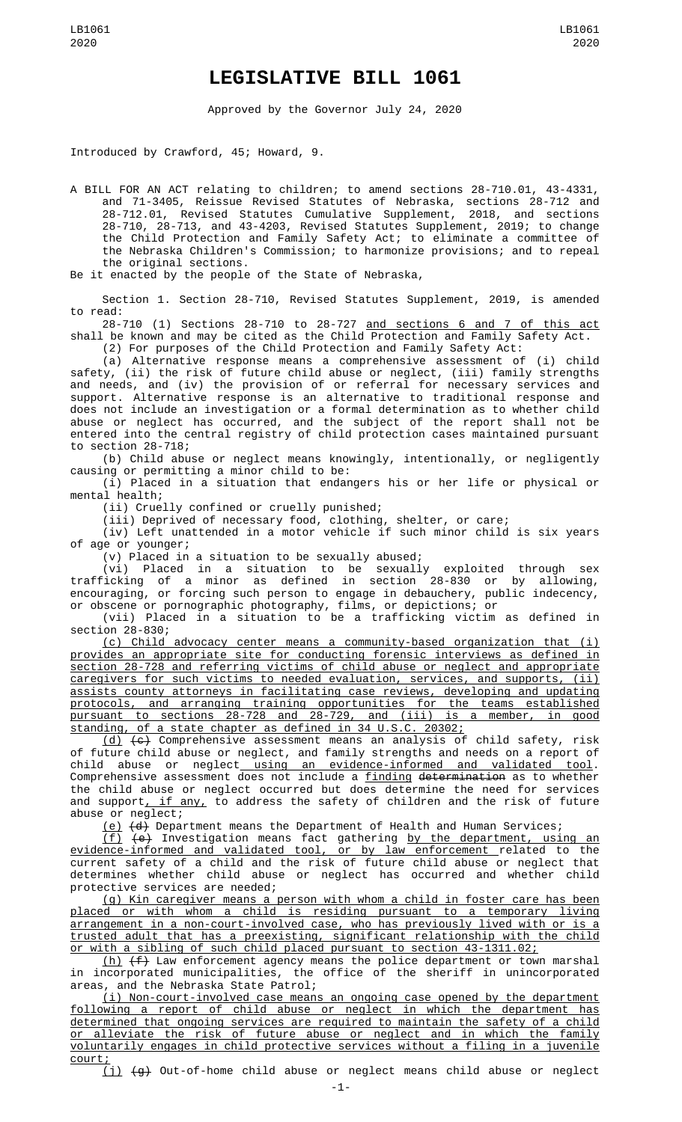## **LEGISLATIVE BILL 1061**

Approved by the Governor July 24, 2020

Introduced by Crawford, 45; Howard, 9.

A BILL FOR AN ACT relating to children; to amend sections 28-710.01, 43-4331, and 71-3405, Reissue Revised Statutes of Nebraska, sections 28-712 and 28-712.01, Revised Statutes Cumulative Supplement, 2018, and sections 28-710, 28-713, and 43-4203, Revised Statutes Supplement, 2019; to change the Child Protection and Family Safety Act; to eliminate a committee of the Nebraska Children's Commission; to harmonize provisions; and to repeal the original sections.

Be it enacted by the people of the State of Nebraska,

Section 1. Section 28-710, Revised Statutes Supplement, 2019, is amended to read:

28-710 (1) Sections 28-710 to 28-727 and sections 6 and 7 of this act shall be known and may be cited as the Child Protection and Family Safety Act. (2) For purposes of the Child Protection and Family Safety Act:

(a) Alternative response means a comprehensive assessment of (i) child safety, (ii) the risk of future child abuse or neglect, (iii) family strengths and needs, and (iv) the provision of or referral for necessary services and support. Alternative response is an alternative to traditional response and does not include an investigation or a formal determination as to whether child abuse or neglect has occurred, and the subject of the report shall not be entered into the central registry of child protection cases maintained pursuant to section 28-718;

(b) Child abuse or neglect means knowingly, intentionally, or negligently causing or permitting a minor child to be:

(i) Placed in a situation that endangers his or her life or physical or mental health;

(ii) Cruelly confined or cruelly punished;

(iii) Deprived of necessary food, clothing, shelter, or care;

(iv) Left unattended in a motor vehicle if such minor child is six years of age or younger;

(v) Placed in a situation to be sexually abused;

(vi) Placed in a situation to be sexually exploited through sex trafficking of a minor as defined in section 28-830 or by allowing, encouraging, or forcing such person to engage in debauchery, public indecency, or obscene or pornographic photography, films, or depictions; or

(vii) Placed in a situation to be a trafficking victim as defined in section 28-830;

(c) Child advocacy center means a community-based organization that (i) provides an appropriate site for conducting forensic interviews as defined in section 28-728 and referring victims of child abuse or neglect and appropriate caregivers for such victims to needed evaluation, services, and supports, (ii) assists county attorneys in facilitating case reviews, developing and updating protocols, and arranging training opportunities for the teams established pursuant to sections 28-728 and 28-729, and (iii) is a member, in good standing, of a state chapter as defined in 34 U.S.C. 20302;

(d) (c) Comprehensive assessment means an analysis of child safety, risk of future child abuse or neglect, and family strengths and needs on a report of child abuse or neglect<u> using an evidence-informed and validated tool</u>. Comprehensive assessment does not include a <u>finding</u> <del>determination</del> as to whether the child abuse or neglect occurred but does determine the need for services and support<u>, if any,</u> to address the safety of children and the risk of future abuse or neglect;

(e) (d) Department means the Department of Health and Human Services;

(f) (e) Investigation means fact gathering by the department, using an evidence-informed and validated tool, or by law enforcement related to the current safety of a child and the risk of future child abuse or neglect that determines whether child abuse or neglect has occurred and whether child protective services are needed;

(g) Kin caregiver means a person with whom a child in foster care has been placed or with whom a child is residing pursuant to a temporary living arrangement in a non-court-involved case, who has previously lived with or is a trusted adult that has a preexisting, significant relationship with the child or with a sibling of such child placed pursuant to section 43-1311.02;

(h) (f) Law enforcement agency means the police department or town marshal in incorporated municipalities, the office of the sheriff in unincorporated areas, and the Nebraska State Patrol;

(i) Non-court-involved case means an ongoing case opened by the department following a report of child abuse or neglect in which the department has determined that ongoing services are required to maintain the safety of a child or alleviate the risk of future abuse or neglect and in which the family voluntarily engages in child protective services without a filing in a juvenile court;

(j) (g) Out-of-home child abuse or neglect means child abuse or neglect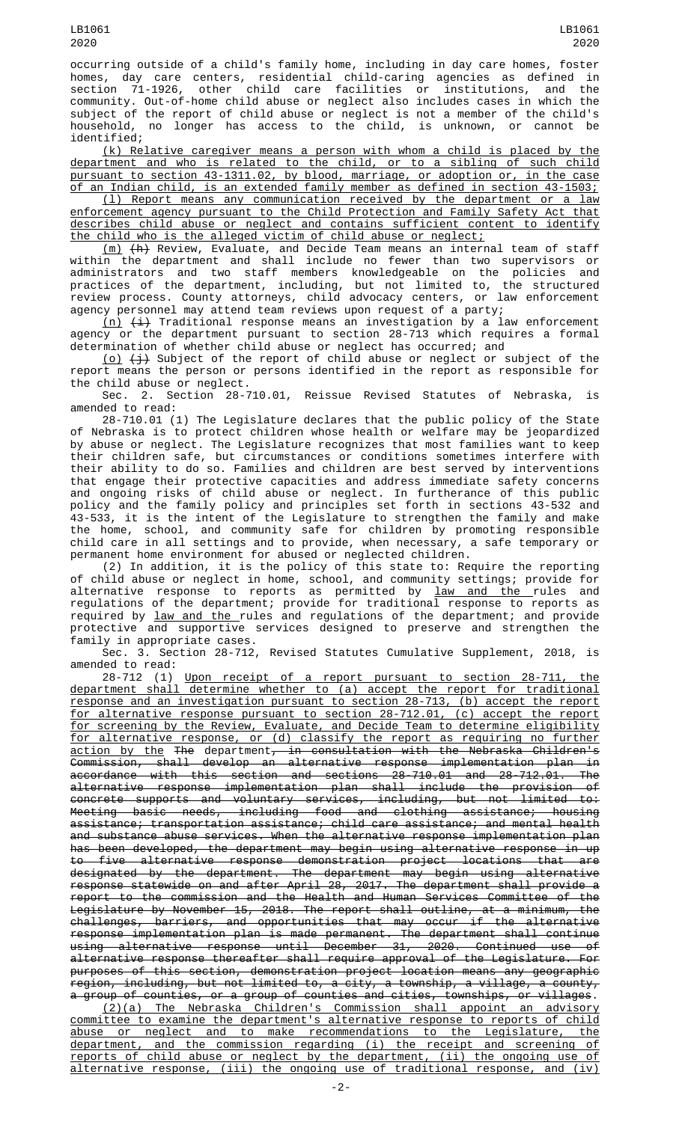occurring outside of a child's family home, including in day care homes, foster homes, day care centers, residential child-caring agencies as defined in section 71-1926, other child care facilities or institutions, and the community. Out-of-home child abuse or neglect also includes cases in which the subject of the report of child abuse or neglect is not a member of the child's household, no longer has access to the child, is unknown, or cannot be identified;

(k) Relative caregiver means a person with whom a child is placed by the department and who is related to the child, or to a sibling of such child pursuant to section 43-1311.02, by blood, marriage, or adoption or, in the case of an Indian child, is an extended family member as defined in section 43-1503;

(l) Report means any communication received by the department or a law enforcement agency pursuant to the Child Protection and Family Safety Act that describes child abuse or neglect and contains sufficient content to identify the child who is the alleged victim of child abuse or neglect;

(m) (h) Review, Evaluate, and Decide Team means an internal team of staff within the department and shall include no fewer than two supervisors or administrators and two staff members knowledgeable on the policies and practices of the department, including, but not limited to, the structured review process. County attorneys, child advocacy centers, or law enforcement agency personnel may attend team reviews upon request of a party;

<u>(n)</u> <del>(i)</del> Traditional response means an investigation by a law enforcement agency or the department pursuant to section 28-713 which requires a formal determination of whether child abuse or neglect has occurred; and

<u>(o)</u> <del>(j)</del> Subject of the report of child abuse or neglect or subject of the report means the person or persons identified in the report as responsible for the child abuse or neglect.

Sec. 2. Section 28-710.01, Reissue Revised Statutes of Nebraska, is amended to read:

28-710.01 (1) The Legislature declares that the public policy of the State of Nebraska is to protect children whose health or welfare may be jeopardized by abuse or neglect. The Legislature recognizes that most families want to keep their children safe, but circumstances or conditions sometimes interfere with their ability to do so. Families and children are best served by interventions that engage their protective capacities and address immediate safety concerns and ongoing risks of child abuse or neglect. In furtherance of this public policy and the family policy and principles set forth in sections 43-532 and 43-533, it is the intent of the Legislature to strengthen the family and make the home, school, and community safe for children by promoting responsible child care in all settings and to provide, when necessary, a safe temporary or permanent home environment for abused or neglected children.

(2) In addition, it is the policy of this state to: Require the reporting of child abuse or neglect in home, school, and community settings; provide for alternative response to reports as permitted by <u>law and the </u>rules and regulations of the department; provide for traditional response to reports as required by <u>law and the </u>rules and regulations of the department; and provide protective and supportive services designed to preserve and strengthen the family in appropriate cases.

Sec. 3. Section 28-712, Revised Statutes Cumulative Supplement, 2018, is amended to read:

28-712 (1) Upon receipt of a report pursuant to section 28-711, the department shall determine whether to (a) accept the report for traditional response and an investigation pursuant to section 28-713, (b) accept the report for alternative response pursuant to section 28-712.01, (c) accept the report for screening by the Review, Evaluate, and Decide Team to determine eligibility for alternative response, or (d) classify the report as requiring no further action by the The department, in consultation with the Nebraska Children's Commission, shall develop an alternative response implementation plan in accordance with this section and sections 28-710.01 and 28-712.01. The alternative response implementation plan shall include the provision of concrete supports and voluntary services, including, but not limited to: Meeting basic needs, including food and clothing assistance; housing assistance; transportation assistance; child care assistance; and mental health and substance abuse services. When the alternative response implementation plan has been developed, the department may begin using alternative response in up to five alternative response demonstration project locations that are designated by the department. The department may begin using alternative response statewide on and after April 28, 2017. The department shall provide a report to the commission and the Health and Human Services Committee of the Legislature by November 15, 2018. The report shall outline, at a minimum, the challenges, barriers, and opportunities that may occur if the alternative response implementation plan is made permanent. The department shall continue using alternative response until December 31, 2020. Continued use of alternative response thereafter shall require approval of the Legislature. For purposes of this section, demonstration project location means any geographic region, including, but not limited to, a city, a township, a village, a county, a group of counties, or a group of counties and cities, townships, or villages.

(2)(a) The Nebraska Children's Commission shall appoint an advisory committee to examine the department's alternative response to reports of child abuse or neglect and to make recommendations to the Legislature, the department, and the commission regarding (i) the receipt and screening of reports of child abuse or neglect by the department, (ii) the ongoing use of alternative response, (iii) the ongoing use of traditional response, and (iv)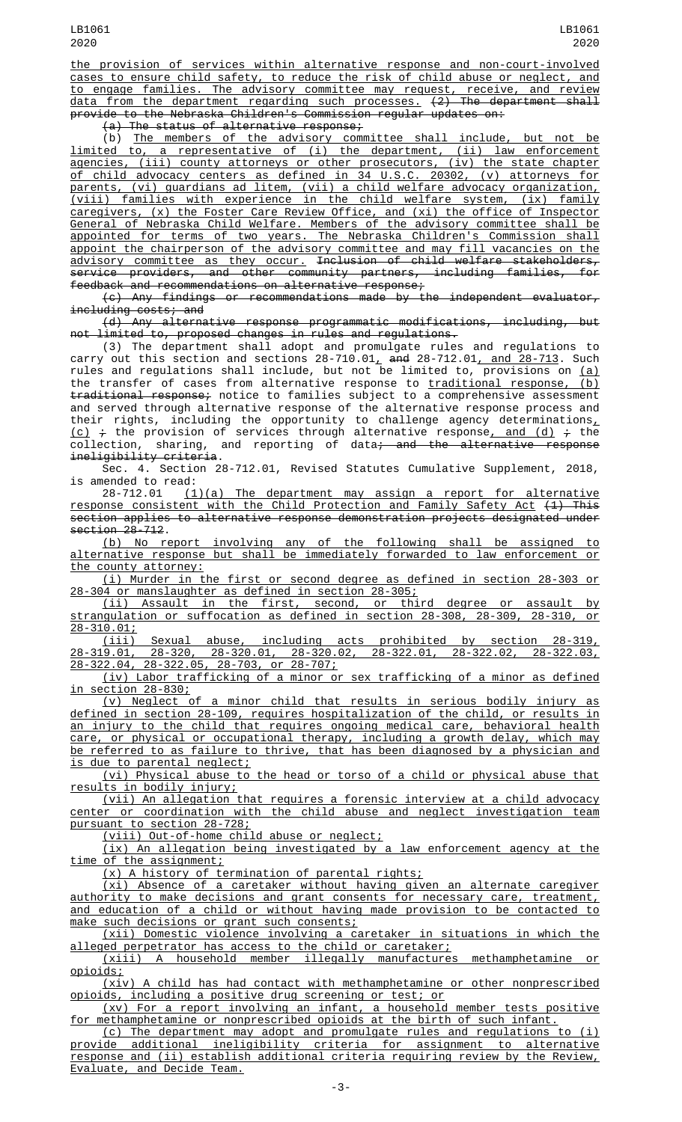the provision of services within alternative response and non-court-involved cases to ensure child safety, to reduce the risk of child abuse or neglect, and to engage families. The advisory committee may request, receive, and review data from the department regarding such processes. (2) The department shall provide to the Nebraska Children's Commission regular updates on:

(a) The status of alternative response;

(b) The members of the advisory committee shall include, but not be limited to, a representative of (i) the department, (ii) law enforcement agencies, (iii) county attorneys or other prosecutors, (iv) the state chapter of child advocacy centers as defined in 34 U.S.C. 20302, (v) attorneys for parents, (vi) guardians ad litem, (vii) a child welfare advocacy organization, (viii) families with experience in the child welfare system, (ix) family caregivers, (x) the Foster Care Review Office, and (xi) the office of Inspector General of Nebraska Child Welfare. Members of the advisory committee shall be appointed for terms of two years. The Nebraska Children's Commission shall appoint the chairperson of the advisory committee and may fill vacancies on the advisory committee as they occur. Inclusion of child welfare stakeholders, service providers, and other community partners, including families, for feedback and recommendations on alternative response;

(c) Any findings or recommendations made by the independent evaluator, including costs; and

(d) Any alternative response programmatic modifications, including, but not limited to, proposed changes in rules and regulations.

(3) The department shall adopt and promulgate rules and regulations to carry out this section and sections 28-710.01, and 28-712.01, and  $28-713$ . Such rules and regulations shall include, but not be limited to, provisions on (a) the transfer of cases from alternative response to <u>traditional response, (b)</u> traditional response; notice to families subject to a comprehensive assessment and served through alternative response of the alternative response process and their rights, including the opportunity to challenge agency determinations $_{L}$ <u>(c)</u>  $\div$  the provision of services through alternative response<u>, and (d)</u>  $\div$  the collection, sharing, and reporting of data<del>; and the alternative response</del> ineligibility criteria.

Sec. 4. Section 28-712.01, Revised Statutes Cumulative Supplement, 2018, is amended to read:<br>28-712.01 (1

 $(1)(a)$  The department may assign a report for alternative response consistent with the Child Protection and Family Safety Act (1) This section applies to alternative response demonstration projects designated under section 28-712.

(b) No report involving any of the following shall be assigned to alternative response but shall be immediately forwarded to law enforcement or the county attorney:

(i) Murder in the first or second degree as defined in section 28-303 or 28-304 or manslaughter as defined in section 28-305;

(ii) Assault in the first, second, or third degree or assault by strangulation or suffocation as defined in section 28-308, 28-309, 28-310, or 28-310.01;

(iii) Sexual abuse, including acts prohibited by section 28-319, 28-319.01, 28-320, 28-320.01, 28-320.02, 28-322.01, 28-322.02, 28-322.03, 28-322.04, 28-322.05, 28-703, or 28-707;

(iv) Labor trafficking of a minor or sex trafficking of a minor as defined in section 28-830;

 $(v)$  Neglect of a minor child that results in serious bodily injury defined in section 28-109, requires hospitalization of the child, or results in an injury to the child that requires ongoing medical care, behavioral health care, or physical or occupational therapy, including a growth delay, which may be referred to as failure to thrive, that has been diagnosed by a physician and is due to parental neglect;

(vi) Physical abuse to the head or torso of a child or physical abuse that results in bodily injury;

(vii) An allegation that requires a forensic interview at a child advocacy center or coordination with the child abuse and neglect investigation team pursuant to section 28-728;

(viii) Out-of-home child abuse or neglect;

(ix) An allegation being investigated by a law enforcement agency at the time of the assignment;

(x) A history of termination of parental rights;

(xi) Absence of a caretaker without having given an alternate caregiver authority to make decisions and grant consents for necessary care, treatment, and education of a child or without having made provision to be contacted to make such decisions or grant such consents;

(xii) Domestic violence involving a caretaker in situations in which the alleged perpetrator has access to the child or caretaker;<br>(xiii) A household member illegally manufacture

illegally manufactures methamphetamine or opioids;

(xiv) A child has had contact with methamphetamine or other nonprescribed opioids, including a positive drug screening or test; or

(xv) For a report involving an infant, a household member tests positive for methamphetamine or nonprescribed opioids at the birth of such infant.

(c) The department may adopt and promulgate rules and regulations to (i) provide additional ineligibility criteria for assignment to alternative response and (ii) establish additional criteria requiring review by the Review, Evaluate, and Decide Team.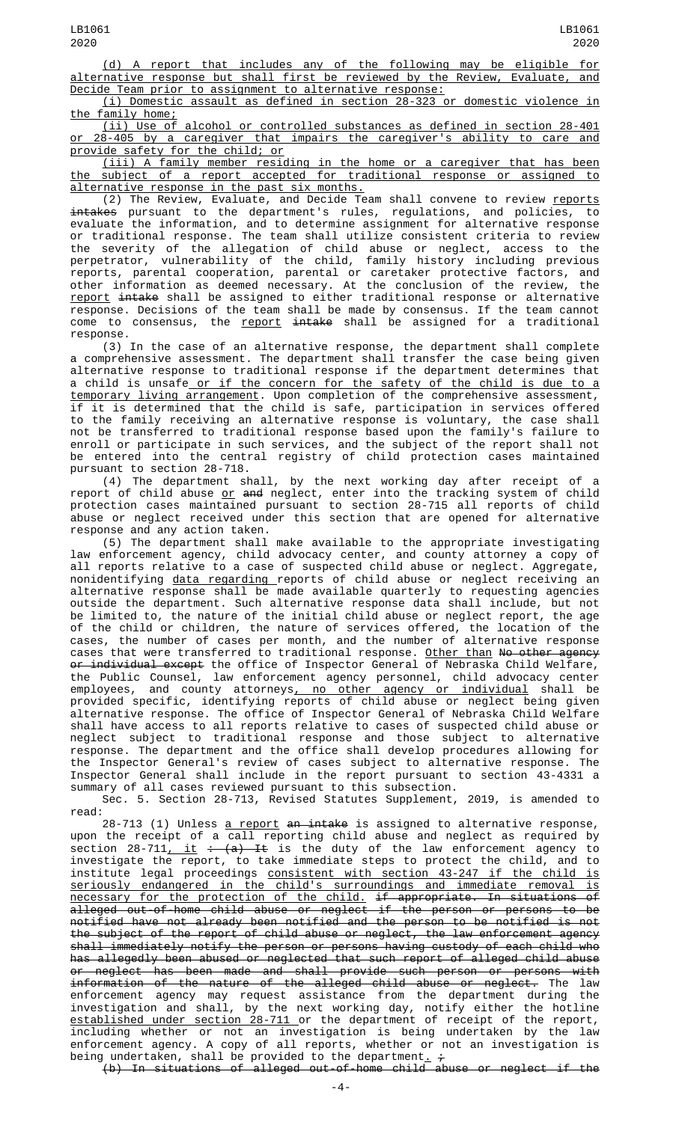(d) A report that includes any of the following may be eligible for alternative response but shall first be reviewed by the Review, Evaluate, and Decide Team prior to assignment to alternative response:

(i) Domestic assault as defined in section 28-323 or domestic violence in the family home;

(ii) Use of alcohol or controlled substances as defined in section 28-401 or 28-405 by a caregiver that impairs the caregiver's ability to care and provide safety for the child; or

(iii) A family member residing in the home or a caregiver that has been the subject of a report accepted for traditional response or assigned to alternative response in the past six months.

(2) The Review, Evaluate, and Decide Team shall convene to review <u>reports</u> intakes pursuant to the department's rules, regulations, and policies, to evaluate the information, and to determine assignment for alternative response or traditional response. The team shall utilize consistent criteria to review the severity of the allegation of child abuse or neglect, access to the perpetrator, vulnerability of the child, family history including previous reports, parental cooperation, parental or caretaker protective factors, and other information as deemed necessary. At the conclusion of the review, the report intake shall be assigned to either traditional response or alternative response. Decisions of the team shall be made by consensus. If the team cannot come to consensus, the <u>report</u> <del>intake</del> shall be assigned for a traditional response.

(3) In the case of an alternative response, the department shall complete a comprehensive assessment. The department shall transfer the case being given alternative response to traditional response if the department determines that a child is unsafe or if the concern for the safety of the child is due to a temporary living arrangement. Upon completion of the comprehensive assessment, if it is determined that the child is safe, participation in services offered to the family receiving an alternative response is voluntary, the case shall not be transferred to traditional response based upon the family's failure to enroll or participate in such services, and the subject of the report shall not be entered into the central registry of child protection cases maintained pursuant to section 28-718.

(4) The department shall, by the next working day after receipt of a report of child abuse <u>or</u> <del>and</del> neglect, enter into the tracking system of child protection cases maintained pursuant to section 28-715 all reports of child abuse or neglect received under this section that are opened for alternative response and any action taken.

(5) The department shall make available to the appropriate investigating law enforcement agency, child advocacy center, and county attorney a copy of all reports relative to a case of suspected child abuse or neglect. Aggregate, nonidentifying <u>data regarding </u>reports of child abuse or neglect receiving an alternative response shall be made available quarterly to requesting agencies outside the department. Such alternative response data shall include, but not be limited to, the nature of the initial child abuse or neglect report, the age of the child or children, the nature of services offered, the location of the cases, the number of cases per month, and the number of alternative response cases that were transferred to traditional response. <u>Other than</u> <del>No other agency</del> <del>or individual except</del> the office of Inspector General of Nebraska Child Welfare, the Public Counsel, law enforcement agency personnel, child advocacy center employees, and county attorneys<u>, no other agency or individual</u> shall be provided specific, identifying reports of child abuse or neglect being given alternative response. The office of Inspector General of Nebraska Child Welfare shall have access to all reports relative to cases of suspected child abuse or neglect subject to traditional response and those subject to alternative response. The department and the office shall develop procedures allowing for the Inspector General's review of cases subject to alternative response. The Inspector General shall include in the report pursuant to section 43-4331 a summary of all cases reviewed pursuant to this subsection.

Sec. 5. Section 28-713, Revised Statutes Supplement, 2019, is amended to read:

28-713 (1) Unless <u>a report</u> <del>an intake</del> is assigned to alternative response, upon the receipt of a call reporting child abuse and neglect as required by section 28-711<u>, it</u> : (a) It is the duty of the law enforcement agency to investigate the report, to take immediate steps to protect the child, and to institute legal proceedings consistent with section 43-247 if the child is seriously endangered in the child's surroundings and immediate removal is necessary for the protection of the child. if appropriate. In situations of alleged out-of-home child abuse or neglect if the person or persons to be notified have not already been notified and the person to be notified is not the subject of the report of child abuse or neglect, the law enforcement agency shall immediately notify the person or persons having custody of each child who has allegedly been abused or neglected that such report of alleged child abuse or neglect has been made and shall provide such person or persons with information of the nature of the alleged child abuse or neglect. The law enforcement agency may request assistance from the department during the investigation and shall, by the next working day, notify either the hotline established under section 28-711 or the department of receipt of the report, including whether or not an investigation is being undertaken by the law enforcement agency. A copy of all reports, whether or not an investigation is being undertaken, shall be provided to the department<u>.</u> <del>;</del>

(b) In situations of alleged out-of-home child abuse or neglect if the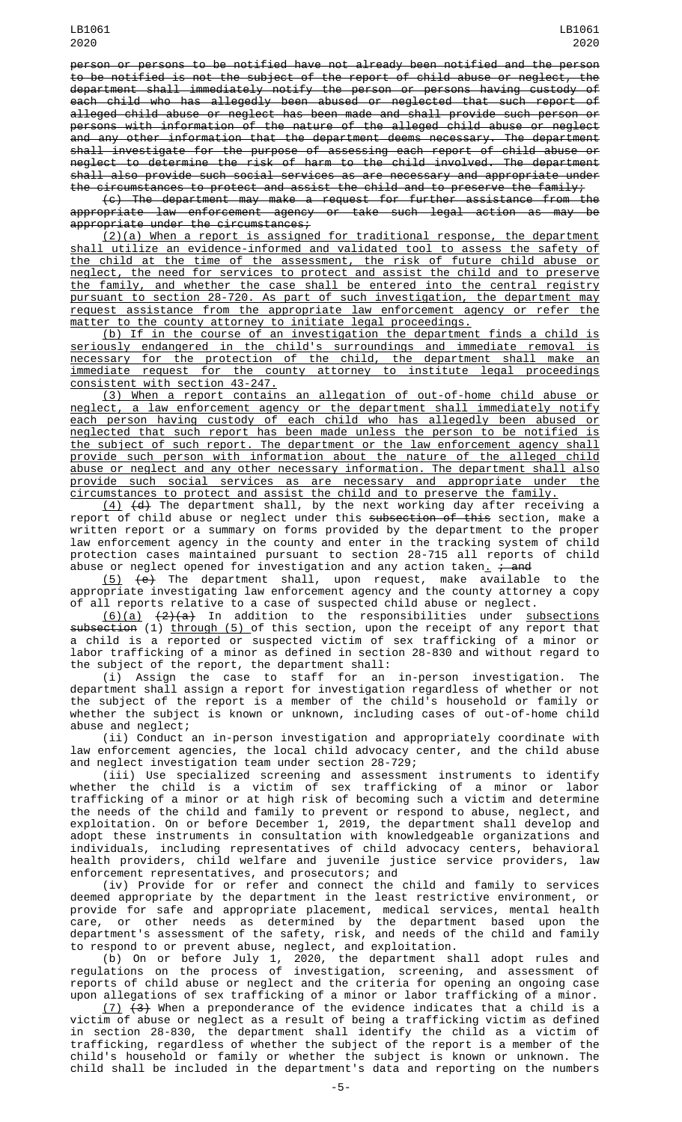person or persons to be notified have not already been notified and the person to be notified is not the subject of the report of child abuse or neglect, the department shall immediately notify the person or persons having custody of each child who has allegedly been abused or neglected that such report of alleged child abuse or neglect has been made and shall provide such person or persons with information of the nature of the alleged child abuse or neglect and any other information that the department deems necessary. The department shall investigate for the purpose of assessing each report of child abuse or neglect to determine the risk of harm to the child involved. The department shall also provide such social services as are necessary and appropriate under the circumstances to protect and assist the child and to preserve the family;

(c) The department may make a request for further assistance from the appropriate law enforcement agency or take such legal action as may be appropriate under the circumstances;

 $(2)(a)$  When a report is assigned for traditional response, the department shall utilize an evidence-informed and validated tool to assess the safety of the child at the time of the assessment, the risk of future child abuse or neglect, the need for services to protect and assist the child and to preserve the family, and whether the case shall be entered into the central registry pursuant to section 28-720. As part of such investigation, the department may request assistance from the appropriate law enforcement agency or refer the matter to the county attorney to initiate legal proceedings.

(b) If in the course of an investigation the department finds a child is seriously endangered in the child's surroundings and immediate removal is necessary for the protection of the child, the department shall make an immediate request for the county attorney to institute legal proceedings consistent with section 43-247.

(3) When a report contains an allegation of out-of-home child abuse or neglect, a law enforcement agency or the department shall immediately notify each person having custody of each child who has allegedly been abused or neglected that such report has been made unless the person to be notified is the subject of such report. The department or the law enforcement agency shall provide such person with information about the nature of the alleged child abuse or neglect and any other necessary information. The department shall also provide such social services as are necessary and appropriate under the circumstances to protect and assist the child and to preserve the family.

(4) (d) The department shall, by the next working day after receiving a report of child abuse or neglect under this <del>subsection of this</del> section, make a written report or a summary on forms provided by the department to the proper law enforcement agency in the county and enter in the tracking system of child protection cases maintained pursuant to section 28-715 all reports of child abuse or neglect opened for investigation and any action taken<u>.</u> <del>; and</del>

(5) (e) The department shall, upon request, make available to the appropriate investigating law enforcement agency and the county attorney a copy of all reports relative to a case of suspected child abuse or neglect.

<u>(6)(a)</u> <del>(2)(a)</del> In addition to the responsibilities under <u>subsections</u> subsection (1) through (5) of this section, upon the receipt of any report that a child is a reported or suspected victim of sex trafficking of a minor or labor trafficking of a minor as defined in section 28-830 and without regard to the subject of the report, the department shall:

(i) Assign the case to staff for an in-person investigation. The department shall assign a report for investigation regardless of whether or not the subject of the report is a member of the child's household or family or whether the subject is known or unknown, including cases of out-of-home child abuse and neglect;

(ii) Conduct an in-person investigation and appropriately coordinate with law enforcement agencies, the local child advocacy center, and the child abuse and neglect investigation team under section 28-729;

(iii) Use specialized screening and assessment instruments to identify whether the child is a victim of sex trafficking of a minor or labor trafficking of a minor or at high risk of becoming such a victim and determine the needs of the child and family to prevent or respond to abuse, neglect, and exploitation. On or before December 1, 2019, the department shall develop and adopt these instruments in consultation with knowledgeable organizations and individuals, including representatives of child advocacy centers, behavioral health providers, child welfare and juvenile justice service providers, law enforcement representatives, and prosecutors; and

(iv) Provide for or refer and connect the child and family to services deemed appropriate by the department in the least restrictive environment, or provide for safe and appropriate placement, medical services, mental health care, or other needs as determined by the department based upon the department's assessment of the safety, risk, and needs of the child and family to respond to or prevent abuse, neglect, and exploitation.

(b) On or before July 1, 2020, the department shall adopt rules and regulations on the process of investigation, screening, and assessment of reports of child abuse or neglect and the criteria for opening an ongoing case upon allegations of sex trafficking of a minor or labor trafficking of a minor.

 $(7)$   $(3)$  When a preponderance of the evidence indicates that a child is a victim of abuse or neglect as a result of being a trafficking victim as defined in section 28-830, the department shall identify the child as a victim of trafficking, regardless of whether the subject of the report is a member of the child's household or family or whether the subject is known or unknown. The child shall be included in the department's data and reporting on the numbers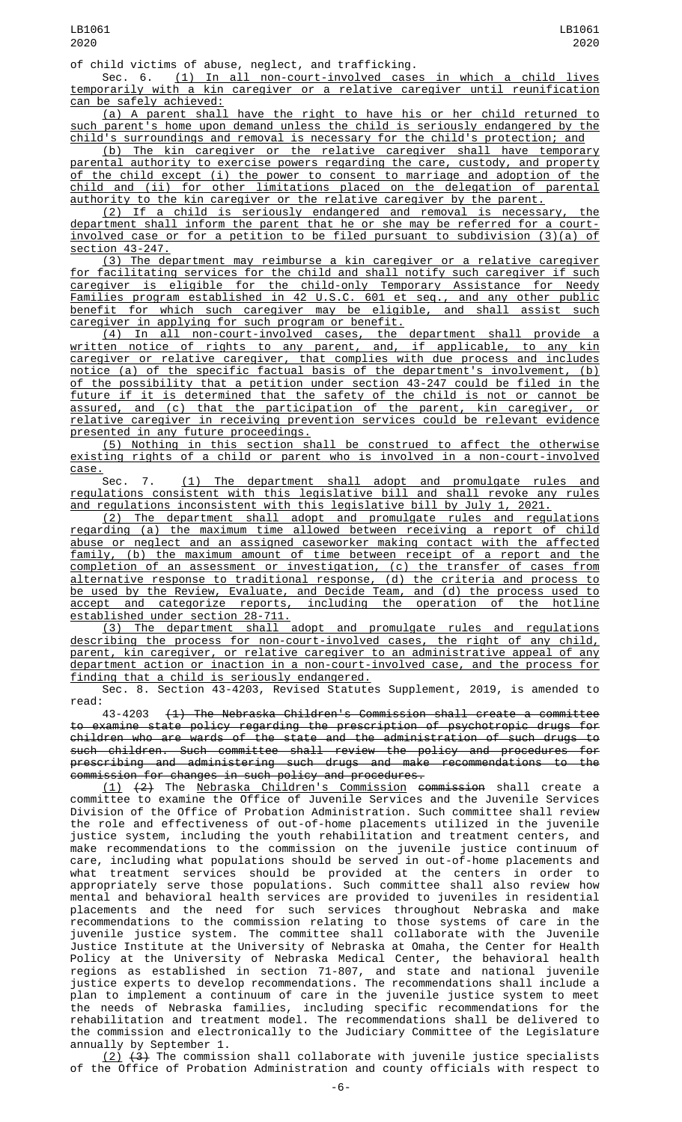Sec. 6. <u>(1) In all non-court-involved cases in which a child lives</u> temporarily with a kin caregiver or a relative caregiver until reunification can be safely achieved:

(a) A parent shall have the right to have his or her child returned to such parent's home upon demand unless the child is seriously endangered by the child's surroundings and removal is necessary for the child's protection; and

(b) The kin caregiver or the relative caregiver shall have temporary parental authority to exercise powers regarding the care, custody, and property of the child except (i) the power to consent to marriage and adoption of the child and (ii) for other limitations placed on the delegation of parental authority to the kin caregiver or the relative caregiver by the parent.

(2) If a child is seriously endangered and removal is necessary, the department shall inform the parent that he or she may be referred for a courtinvolved case or for a petition to be filed pursuant to subdivision (3)(a) of section 43-247.

(3) The department may reimburse a kin caregiver or a relative caregiver for facilitating services for the child and shall notify such caregiver if such caregiver is eligible for the child-only Temporary Assistance for Needy Families program established in 42 U.S.C. 601 et seq., and any other public benefit for which such caregiver may be eligible, and shall assist such caregiver in applying for such program or benefit.

(4) In all non-court-involved cases, the department shall provide a written notice of rights to any parent, and, if applicable, to any kin caregiver or relative caregiver, that complies with due process and includes notice (a) of the specific factual basis of the department's involvement, (b) of the possibility that a petition under section 43-247 could be filed in the future if it is determined that the safety of the child is not or cannot be assured, and (c) that the participation of the parent, kin caregiver, or relative caregiver in receiving prevention services could be relevant evidence presented in any future proceedings.

(5) Nothing in this section shall be construed to affect the otherwise existing rights of a child or parent who is involved in a non-court-involved case.

Sec. 7. <u>(1) The department shall adopt and promulgate rules and</u> regulations consistent with this legislative bill and shall revoke any rules and regulations inconsistent with this legislative bill by July 1, 2021.

(2) The department shall adopt and promulgate rules and regulations regarding (a) the maximum time allowed between receiving a report of child abuse or neglect and an assigned caseworker making contact with the affected family, (b) the maximum amount of time between receipt of a report and the completion of an assessment or investigation, (c) the transfer of cases from alternative response to traditional response, (d) the criteria and process to be used by the Review, Evaluate, and Decide Team, and (d) the process used to accept and categorize reports, including the operation of the hotline established under section 28-711.

(3) The department shall adopt and promulgate rules and regulations describing the process for non-court-involved cases, the right of any child, parent, kin caregiver, or relative caregiver to an administrative appeal of any department action or inaction in a non-court-involved case, and the process for finding that a child is seriously endangered.

Sec. 8. Section 43-4203, Revised Statutes Supplement, 2019, is amended to read:

43-4203 (1) The Nebraska Children's Commission shall create a committee to examine state policy regarding the prescription of psychotropic drugs for children who are wards of the state and the administration of such drugs to such children. Such committee shall review the policy and procedures for prescribing and administering such drugs and make recommendations to the commission for changes in such policy and procedures.

(1) (2) The Nebraska Children's Commission commission shall create a committee to examine the Office of Juvenile Services and the Juvenile Services Division of the Office of Probation Administration. Such committee shall review the role and effectiveness of out-of-home placements utilized in the juvenile justice system, including the youth rehabilitation and treatment centers, and make recommendations to the commission on the juvenile justice continuum of care, including what populations should be served in out-of-home placements and what treatment services should be provided at the centers in order to appropriately serve those populations. Such committee shall also review how mental and behavioral health services are provided to juveniles in residential placements and the need for such services throughout Nebraska and make recommendations to the commission relating to those systems of care in the juvenile justice system. The committee shall collaborate with the Juvenile Justice Institute at the University of Nebraska at Omaha, the Center for Health Policy at the University of Nebraska Medical Center, the behavioral health regions as established in section 71-807, and state and national juvenile justice experts to develop recommendations. The recommendations shall include a plan to implement a continuum of care in the juvenile justice system to meet the needs of Nebraska families, including specific recommendations for the rehabilitation and treatment model. The recommendations shall be delivered to the commission and electronically to the Judiciary Committee of the Legislature annually by September 1.

 $(2)$   $(3)$  The commission shall collaborate with juvenile justice specialists of the Office of Probation Administration and county officials with respect to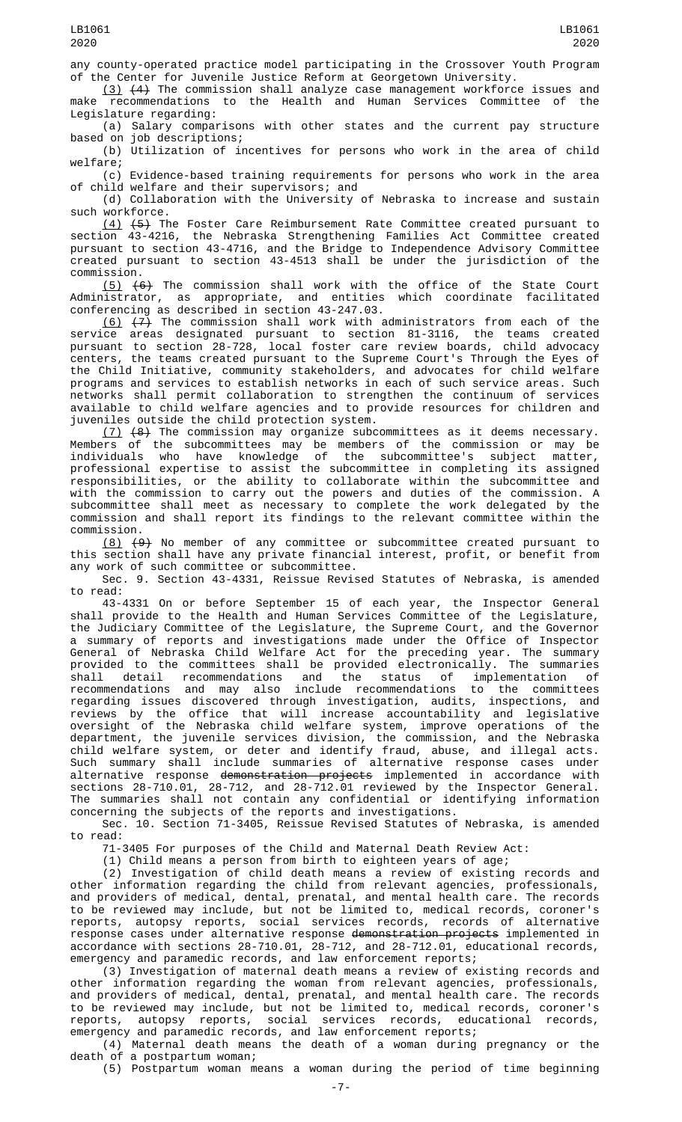any county-operated practice model participating in the Crossover Youth Program of the Center for Juvenile Justice Reform at Georgetown University.

 $(3)$   $(4)$  The commission shall analyze case management workforce issues and recommendations to the Health and Human Services Committee of the make recommendations to the Health and Human Services Committee of Legislature regarding:

(a) Salary comparisons with other states and the current pay structure based on job descriptions;

(b) Utilization of incentives for persons who work in the area of child welfare;

(c) Evidence-based training requirements for persons who work in the area of child welfare and their supervisors; and

(d) Collaboration with the University of Nebraska to increase and sustain such workforce.

(4) (5) The Foster Care Reimbursement Rate Committee created pursuant to section 43-4216, the Nebraska Strengthening Families Act Committee created pursuant to section 43-4716, and the Bridge to Independence Advisory Committee created pursuant to section 43-4513 shall be under the jurisdiction of the commission.

(5) (6) The commission shall work with the office of the State Court Administrator, as appropriate, and entities which coordinate facilitated conferencing as described in section 43-247.03.

<u>(6)</u>  $(7)$  The commission shall work with administrators from each of the service areas designated pursuant to section 81-3116, the teams created pursuant to section 28-728, local foster care review boards, child advocacy centers, the teams created pursuant to the Supreme Court's Through the Eyes of the Child Initiative, community stakeholders, and advocates for child welfare programs and services to establish networks in each of such service areas. Such networks shall permit collaboration to strengthen the continuum of services available to child welfare agencies and to provide resources for children and juveniles outside the child protection system.

 $(7)$   $(8)$  The commission may organize subcommittees as it deems necessary. Members of the subcommittees may be members of the commission or may be individuals who have knowledge of the subcommittee's subject matter, professional expertise to assist the subcommittee in completing its assigned responsibilities, or the ability to collaborate within the subcommittee and with the commission to carry out the powers and duties of the commission. A subcommittee shall meet as necessary to complete the work delegated by the commission and shall report its findings to the relevant committee within the commission.

(8) (9) No member of any committee or subcommittee created pursuant to this section shall have any private financial interest, profit, or benefit from any work of such committee or subcommittee.

Sec. 9. Section 43-4331, Reissue Revised Statutes of Nebraska, is amended to read:

43-4331 On or before September 15 of each year, the Inspector General shall provide to the Health and Human Services Committee of the Legislature, the Judiciary Committee of the Legislature, the Supreme Court, and the Governor a summary of reports and investigations made under the Office of Inspector General of Nebraska Child Welfare Act for the preceding year. The summary provided to the committees shall be provided electronically. The summaries shall detail recommendations and the status of implementation of recommendations and may also include recommendations to the committees regarding issues discovered through investigation, audits, inspections, and reviews by the office that will increase accountability and legislative oversight of the Nebraska child welfare system, improve operations of the department, the juvenile services division, the commission, and the Nebraska child welfare system, or deter and identify fraud, abuse, and illegal acts. Such summary shall include summaries of alternative response cases under alternative response <del>demonstration projects</del> implemented in accordance with sections 28-710.01, 28-712, and 28-712.01 reviewed by the Inspector General. The summaries shall not contain any confidential or identifying information concerning the subjects of the reports and investigations.

Sec. 10. Section 71-3405, Reissue Revised Statutes of Nebraska, is amended to read:

71-3405 For purposes of the Child and Maternal Death Review Act:

(1) Child means a person from birth to eighteen years of age;

(2) Investigation of child death means a review of existing records and other information regarding the child from relevant agencies, professionals, and providers of medical, dental, prenatal, and mental health care. The records to be reviewed may include, but not be limited to, medical records, coroner's reports, autopsy reports, social services records, records of alternative response cases under alternative response demonstration projects implemented in accordance with sections 28-710.01, 28-712, and 28-712.01, educational records, emergency and paramedic records, and law enforcement reports;

(3) Investigation of maternal death means a review of existing records and other information regarding the woman from relevant agencies, professionals, and providers of medical, dental, prenatal, and mental health care. The records to be reviewed may include, but not be limited to, medical records, coroner's reports, autopsy reports, social services records, educational records, emergency and paramedic records, and law enforcement reports;

(4) Maternal death means the death of a woman during pregnancy or the death of a postpartum woman;

(5) Postpartum woman means a woman during the period of time beginning